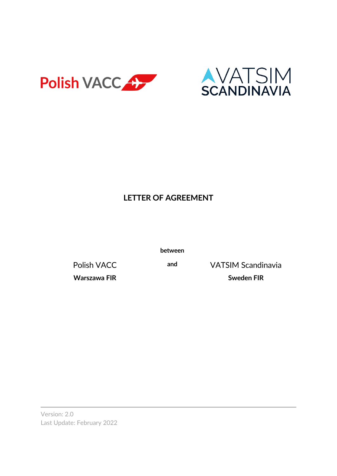



## **LETTER OF AGREEMENT**

**between**

**Warszawa FIR Sweden FIR**

Polish VACC **and** VATSIM Scandinavia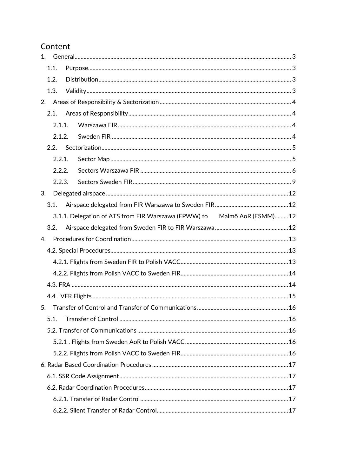### Content

| 1. |        |  |                                                                         |
|----|--------|--|-------------------------------------------------------------------------|
|    | 1.1.   |  |                                                                         |
|    | 1.2.   |  |                                                                         |
|    | 1.3.   |  |                                                                         |
| 2. |        |  |                                                                         |
|    | 2.1.   |  |                                                                         |
|    | 2.1.1. |  |                                                                         |
|    | 2.1.2. |  |                                                                         |
|    | 2.2.   |  |                                                                         |
|    | 2.2.1. |  |                                                                         |
|    | 2.2.2. |  |                                                                         |
|    | 2.2.3. |  |                                                                         |
| 3. |        |  |                                                                         |
|    | 3.1.   |  |                                                                         |
|    |        |  | 3.1.1. Delegation of ATS from FIR Warszawa (EPWW) to Malmö AoR (ESMM)12 |
|    | 3.2.   |  |                                                                         |
| 4. |        |  |                                                                         |
|    |        |  |                                                                         |
|    |        |  |                                                                         |
|    |        |  |                                                                         |
|    |        |  |                                                                         |
|    |        |  |                                                                         |
| 5. |        |  |                                                                         |
|    | 5.1.   |  |                                                                         |
|    |        |  |                                                                         |
|    |        |  |                                                                         |
|    |        |  |                                                                         |
|    |        |  |                                                                         |
|    |        |  |                                                                         |
|    |        |  |                                                                         |
|    |        |  |                                                                         |
|    |        |  |                                                                         |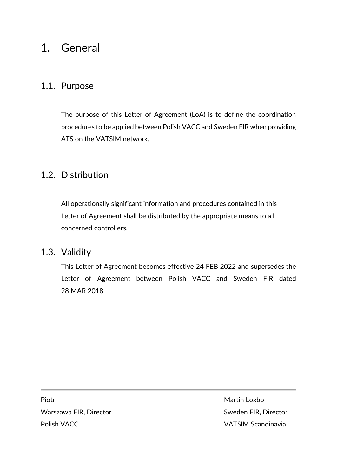# <span id="page-2-0"></span>1. General

### <span id="page-2-1"></span>1.1. Purpose

The purpose of this Letter of Agreement (LoA) is to define the coordination procedures to be applied between Polish VACC and Sweden FIR when providing ATS on the VATSIM network.

### <span id="page-2-2"></span>1.2. Distribution

All operationally significant information and procedures contained in this Letter of Agreement shall be distributed by the appropriate means to all concerned controllers.

### <span id="page-2-3"></span>1.3. Validity

This Letter of Agreement becomes effective 24 FEB 2022 and supersedes the Letter of Agreement between Polish VACC and Sweden FIR dated 28 MAR 2018.

Piotr Martin Loxbo Warszawa FIR, Director National Sweden FIR, Director Polish VACC **VATSIM Scandinavia**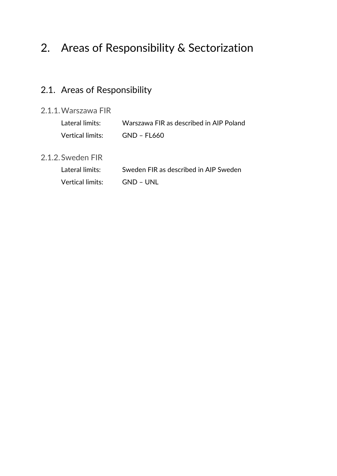# <span id="page-3-0"></span>2. Areas of Responsibility & Sectorization

# <span id="page-3-1"></span>2.1. Areas of Responsibility

### <span id="page-3-2"></span>2.1.1.Warszawa FIR

| Lateral limits:  | Warszawa FIR as described in AIP Poland |
|------------------|-----------------------------------------|
| Vertical limits: | GND – FL660                             |

### <span id="page-3-3"></span>2.1.2.Sweden FIR

| Lateral limits:  | Sweden FIR as described in AIP Sweden |
|------------------|---------------------------------------|
| Vertical limits: | -GND – UNI                            |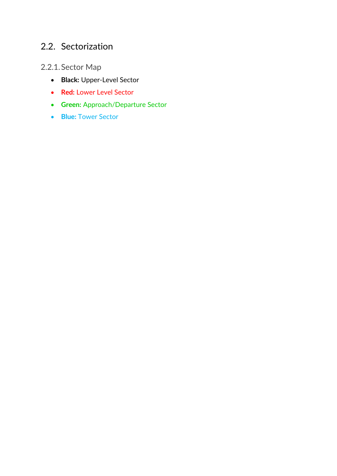## <span id="page-4-0"></span>2.2. Sectorization

## <span id="page-4-1"></span>2.2.1.Sector Map

- **Black:** Upper-Level Sector
- **Red:** Lower Level Sector
- **Green:** Approach/Departure Sector
- **Blue:** Tower Sector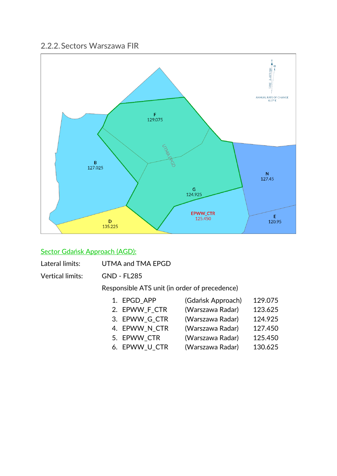#### <span id="page-5-0"></span>2.2.2.Sectors Warszawa FIR



#### Sector Gdańsk Approach (AGD):

|  | Lateral limits: | UTMA and TMA EPGD |
|--|-----------------|-------------------|
|--|-----------------|-------------------|

Vertical limits: GND - FL285

- 1. EPGD\_APP (Gdańsk Approach) 129.075
- 2. EPWW\_F\_CTR (Warszawa Radar) 123.625
- 3. EPWW\_G\_CTR (Warszawa Radar) 124.925
- 4. EPWW\_N\_CTR (Warszawa Radar) 127.450
- 
- 5. EPWW\_CTR (Warszawa Radar) 125.450
- 6. EPWW\_U\_CTR (Warszawa Radar) 130.625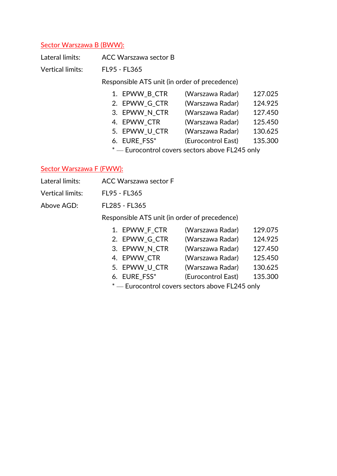#### Sector Warszawa B (BWW):

| Lateral limits:         |                                   | <b>ACC Warszawa sector B</b>                  |                                                    |         |
|-------------------------|-----------------------------------|-----------------------------------------------|----------------------------------------------------|---------|
| <b>Vertical limits:</b> | FL95 - FL365                      |                                               |                                                    |         |
|                         |                                   | Responsible ATS unit (in order of precedence) |                                                    |         |
|                         | 1. EPWW_B_CTR<br>(Warszawa Radar) |                                               |                                                    | 127.025 |
|                         |                                   | 2. EPWW_G_CTR                                 | (Warszawa Radar)                                   | 124.925 |
|                         |                                   | 3. EPWW N CTR                                 | (Warszawa Radar)                                   | 127.450 |
|                         |                                   | 4. EPWW CTR                                   | (Warszawa Radar)                                   | 125.450 |
|                         |                                   | 5. EPWW U CTR                                 | (Warszawa Radar)                                   | 130.625 |
|                         |                                   | 6. EURE FSS*                                  | (Eurocontrol East)                                 | 135.300 |
|                         |                                   |                                               | $^*$ - Eurocontrol covers sectors above FL245 only |         |

#### Sector Warszawa F (FWW):

Vertical limits: FL95 - FL365

Above AGD: FL285 - FL365

| 1. EPWW F CTR       | (Warszawa Radar) | 129.075 |
|---------------------|------------------|---------|
| 2. EPWW G CTR       | (Warszawa Radar) | 124.925 |
| 3. EPWW N CTR       | (Warszawa Radar) | 127.450 |
| 4. EPWW CTR         | (Warszawa Radar) | 125.450 |
| <b>BIANALII ATR</b> | $\mathbf{A}$     |         |

- 5. EPWW\_U\_CTR (Warszawa Radar) 130.625
- 6. EURE\_FSS\* (Eurocontrol East) 135.300
- \* Eurocontrol covers sectors above FL245 only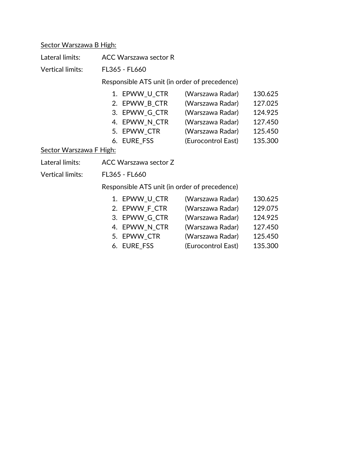### Sector Warszawa B High:

| Lateral limits:                | <b>ACC Warszawa sector R</b>                                                                   |                                                                                                                        |                                                                |  |
|--------------------------------|------------------------------------------------------------------------------------------------|------------------------------------------------------------------------------------------------------------------------|----------------------------------------------------------------|--|
| <b>Vertical limits:</b>        | FL365 - FL660                                                                                  |                                                                                                                        |                                                                |  |
|                                | Responsible ATS unit (in order of precedence)                                                  |                                                                                                                        |                                                                |  |
| <b>Sector Warszawa F High:</b> | 1. EPWW_U_CTR<br>2. EPWW_B_CTR<br>3. EPWW_G_CTR<br>4. EPWW_N_CTR<br>5. EPWW_CTR<br>6. EURE_FSS | (Warszawa Radar)<br>(Warszawa Radar)<br>(Warszawa Radar)<br>(Warszawa Radar)<br>(Warszawa Radar)<br>(Eurocontrol East) | 130.625<br>127.025<br>124.925<br>127.450<br>125.450<br>135.300 |  |
| Lateral limits:                | ACC Warszawa sector Z                                                                          |                                                                                                                        |                                                                |  |
| <b>Vertical limits:</b>        | FL365 - FL660                                                                                  |                                                                                                                        |                                                                |  |
|                                | Responsible ATS unit (in order of precedence)                                                  |                                                                                                                        |                                                                |  |
|                                | 1. EPWW_U_CTR<br>2. EPWW_F_CTR<br>3. EPWW_G_CTR<br>4. EPWW_N_CTR<br>5. EPWW_CTR<br>6. EURE_FSS | (Warszawa Radar)<br>(Warszawa Radar)<br>(Warszawa Radar)<br>(Warszawa Radar)<br>(Warszawa Radar)<br>(Eurocontrol East) | 130.625<br>129.075<br>124.925<br>127.450<br>125.450<br>135.300 |  |

- 
-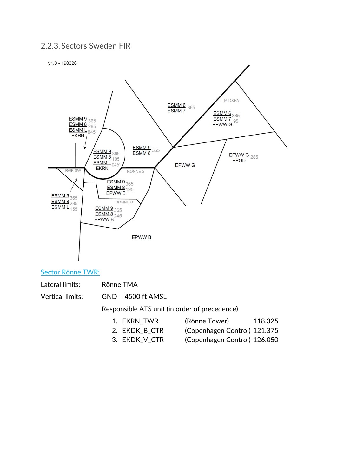### <span id="page-8-0"></span>2.2.3.Sectors Sweden FIR





#### Sector Rönne TWR:

Lateral limits: Rönne TMA

Vertical limits: GND – 4500 ft AMSL

- 1. EKRN\_TWR (Rönne Tower) 118.325
- 2. EKDK\_B\_CTR (Copenhagen Control) 121.375
- 3. EKDK\_V\_CTR (Copenhagen Control) 126.050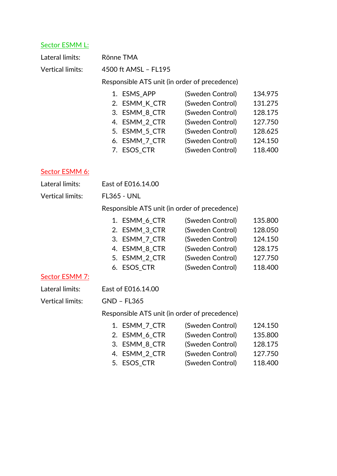#### Sector ESMM L:

| Lateral limits:  | Rönne TMA                                     |                  |         |  |  |
|------------------|-----------------------------------------------|------------------|---------|--|--|
| Vertical limits: | 4500 ft AMSL - FL195                          |                  |         |  |  |
|                  | Responsible ATS unit (in order of precedence) |                  |         |  |  |
|                  | 1. ESMS APP                                   | (Sweden Control) | 134.975 |  |  |
|                  | 2. ESMM_K_CTR                                 | (Sweden Control) | 131.275 |  |  |
|                  | 3. ESMM 8 CTR                                 | (Sweden Control) | 128.175 |  |  |
|                  | 4. ESMM 2 CTR                                 | (Sweden Control) | 127.750 |  |  |
|                  | 5. ESMM 5 CTR                                 | (Sweden Control) | 128.625 |  |  |
|                  | 6. ESMM 7 CTR                                 | (Sweden Control) | 124.150 |  |  |
|                  | 7. ESOS_CTR                                   | (Sweden Control) | 118.400 |  |  |
|                  |                                               |                  |         |  |  |

### Sector ESMM 6:

| Lateral limits: | East of E016.14.00 |
|-----------------|--------------------|
|                 |                    |

Vertical limits: FL365 - UNL

Responsible ATS unit (in order of precedence)

| 1. ESMM_6_CTR | (Sweden Control) | 135.800 |
|---------------|------------------|---------|
| 2. ESMM_3_CTR | (Sweden Control) | 128.050 |
| 3. ESMM_7_CTR | (Sweden Control) | 124.150 |
| 4. ESMM_8_CTR | (Sweden Control) | 128.175 |
| 5. ESMM 2 CTR | (Sweden Control) | 127.750 |
| 6. ESOS_CTR   | (Sweden Control) | 118.400 |

#### Sector ESMM 7:

Lateral limits: East of E016.14.00

#### Vertical limits: GND – FL365

| 1. ESMM 7 CTR | (Sweden Control) | 124.150 |
|---------------|------------------|---------|
| 2. ESMM 6 CTR | (Sweden Control) | 135.800 |
| 3. ESMM 8 CTR | (Sweden Control) | 128.175 |
| 4. ESMM_2_CTR | (Sweden Control) | 127.750 |
| 5. ESOS_CTR   | (Sweden Control) | 118.400 |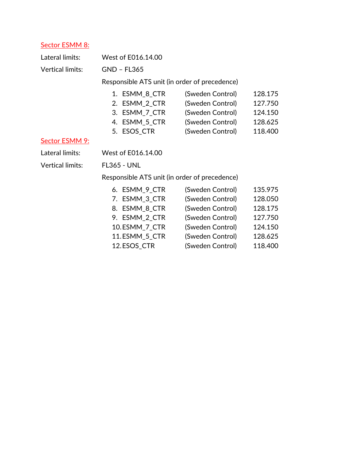### Sector ESMM 8:

| Lateral limits:         | West of E016.14.00                            |                  |         |
|-------------------------|-----------------------------------------------|------------------|---------|
| Vertical limits:        | <b>GND - FL365</b>                            |                  |         |
|                         | Responsible ATS unit (in order of precedence) |                  |         |
|                         | 1. ESMM_8_CTR                                 | (Sweden Control) | 128.175 |
|                         | 2. ESMM_2_CTR                                 | (Sweden Control) | 127.750 |
|                         | 3. ESMM_7_CTR                                 | (Sweden Control) | 124.150 |
|                         | 4. ESMM_5_CTR                                 | (Sweden Control) | 128.625 |
|                         | 5. ESOS_CTR                                   | (Sweden Control) | 118.400 |
| Sector ESMM 9:          |                                               |                  |         |
| Lateral limits:         | West of E016.14.00                            |                  |         |
| <b>Vertical limits:</b> | <b>FL365 - UNL</b>                            |                  |         |
|                         | Responsible ATS unit (in order of precedence) |                  |         |
|                         | 6. ESMM_9_CTR                                 | (Sweden Control) | 135.975 |
|                         | 7. ESMM_3_CTR                                 | (Sweden Control) | 128.050 |
|                         | 8. ESMM_8_CTR                                 | (Sweden Control) | 128.175 |
|                         | 9. ESMM_2_CTR                                 | (Sweden Control) | 127.750 |
|                         | 10.ESMM_7_CTR                                 | (Sweden Control) | 124.150 |
|                         | 11.ESMM 5 CTR                                 | (Sweden Control) | 128.625 |

12.ESOS\_CTR (Sweden Control) 118.400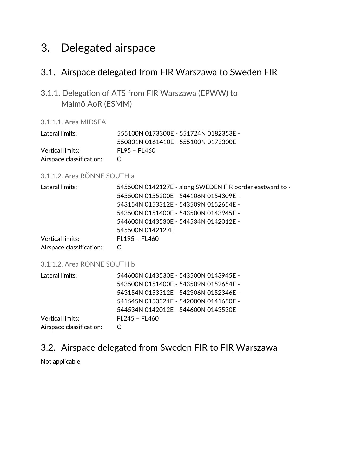# <span id="page-11-0"></span>3. Delegated airspace

### <span id="page-11-1"></span>3.1. Airspace delegated from FIR Warszawa to Sweden FIR

<span id="page-11-2"></span>3.1.1. Delegation of ATS from FIR Warszawa (EPWW) to Malmö AoR (ESMM)

3.1.1.1. Area MIDSEA

| Lateral limits:          | 555100N 0173300E - 551724N 0182353E - |
|--------------------------|---------------------------------------|
|                          | 550801N 0161410E - 555100N 0173300E   |
| Vertical limits:         | FL 95 – FL 460                        |
| Airspace classification: | $\sqrt{ }$                            |

#### 3.1.1.2. Area RÖNNE SOUTH a

| Lateral limits:          | 545500N 0142127E - along SWEDEN FIR border eastward to - |
|--------------------------|----------------------------------------------------------|
|                          | 545500N 0155200E - 544106N 0154309E -                    |
|                          |                                                          |
|                          | 543500N 0151400E - 543500N 0143945E -                    |
|                          | 544600N 0143530E - 544534N 0142012E -                    |
|                          | 545500N 0142127E                                         |
| <b>Vertical limits:</b>  | FL195 - FL460                                            |
| Airspace classification: |                                                          |

#### 3.1.1.2. Area RÖNNE SOUTH b

| 544600N 0143530E - 543500N 0143945E - |
|---------------------------------------|
| 543500N 0151400E - 543509N 0152654E - |
| 543154N 0153312E - 542306N 0152346E - |
| 541545N 0150321E - 542000N 0141650E - |
| 544534N 0142012E - 544600N 0143530E   |
| FL245 - FL460                         |
|                                       |
|                                       |

### <span id="page-11-3"></span>3.2. Airspace delegated from Sweden FIR to FIR Warszawa

Not applicable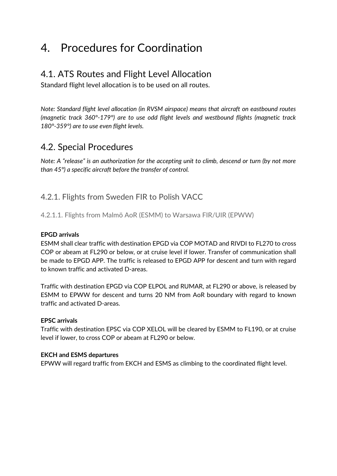# <span id="page-12-0"></span>4. Procedures for Coordination

## 4.1. ATS Routes and Flight Level Allocation

Standard flight level allocation is to be used on all routes.

*Note: Standard flight level allocation (in RVSM airspace) means that aircraft on eastbound routes (magnetic track 360°-179°) are to use odd flight levels and westbound flights (magnetic track 180°-359°) are to use even flight levels.*

## <span id="page-12-1"></span>4.2. Special Procedures

*Note: A "release" is an authorization for the accepting unit to climb, descend or turn (by not more than 45°) a specific aircraft before the transfer of control.*

### <span id="page-12-2"></span>4.2.1. Flights from Sweden FIR to Polish VACC

4.2.1.1. Flights from Malmö AoR (ESMM) to Warsawa FIR/UIR (EPWW)

#### **EPGD arrivals**

ESMM shall clear traffic with destination EPGD via COP MOTAD and RIVDI to FL270 to cross COP or abeam at FL290 or below, or at cruise level if lower. Transfer of communication shall be made to EPGD APP. The traffic is released to EPGD APP for descent and turn with regard to known traffic and activated D-areas.

Traffic with destination EPGD via COP ELPOL and RUMAR, at FL290 or above, is released by ESMM to EPWW for descent and turns 20 NM from AoR boundary with regard to known traffic and activated D-areas.

#### **EPSC arrivals**

Traffic with destination EPSC via COP XELOL will be cleared by ESMM to FL190, or at cruise level if lower, to cross COP or abeam at FL290 or below.

#### **EKCH and ESMS departures**

<span id="page-12-3"></span>EPWW will regard traffic from EKCH and ESMS as climbing to the coordinated flight level.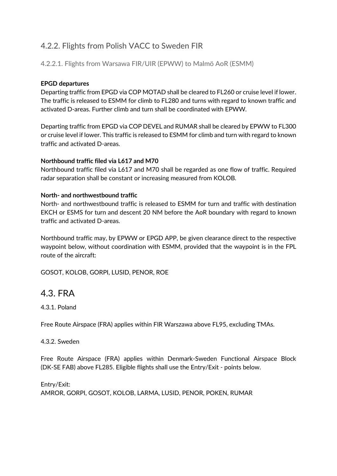### 4.2.2. Flights from Polish VACC to Sweden FIR

#### 4.2.2.1. Flights from Warsawa FIR/UIR (EPWW) to Malmö AoR (ESMM)

#### **EPGD departures**

Departing traffic from EPGD via COP MOTAD shall be cleared to FL260 or cruise level if lower. The traffic is released to ESMM for climb to FL280 and turns with regard to known traffic and activated D-areas. Further climb and turn shall be coordinated with EPWW.

Departing traffic from EPGD via COP DEVEL and RUMAR shall be cleared by EPWW to FL300 or cruise level if lower. This traffic is released to ESMM for climb and turn with regard to known traffic and activated D-areas.

#### **Northbound traffic filed via L617 and M70**

Northbound traffic filed via L617 and M70 shall be regarded as one flow of traffic. Required radar separation shall be constant or increasing measured from KOLOB.

#### **North- and northwestbound traffic**

North- and northwestbound traffic is released to ESMM for turn and traffic with destination EKCH or ESMS for turn and descent 20 NM before the AoR boundary with regard to known traffic and activated D-areas.

Northbound traffic may, by EPWW or EPGD APP, be given clearance direct to the respective waypoint below, without coordination with ESMM, provided that the waypoint is in the FPL route of the aircraft:

<span id="page-13-0"></span>GOSOT, KOLOB, GORPI, LUSID, PENOR, ROE

### 4.3. FRA

4.3.1. Poland

Free Route Airspace (FRA) applies within FIR Warszawa above FL95, excluding TMAs.

#### 4.3.2. Sweden

Free Route Airspace (FRA) applies within Denmark-Sweden Functional Airspace Block (DK-SE FAB) above FL285. Eligible flights shall use the Entry/Exit - points below.

Entry/Exit: AMROR, GORPI, GOSOT, KOLOB, LARMA, LUSID, PENOR, POKEN, RUMAR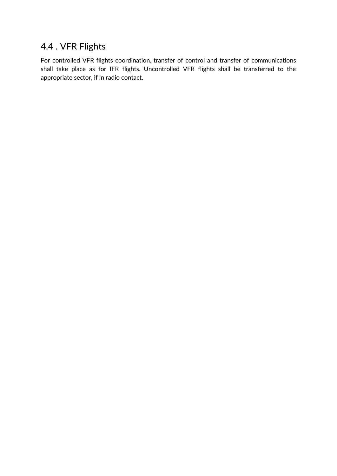## <span id="page-14-0"></span>4.4 . VFR Flights

For controlled VFR flights coordination, transfer of control and transfer of communications shall take place as for IFR flights. Uncontrolled VFR flights shall be transferred to the appropriate sector, if in radio contact.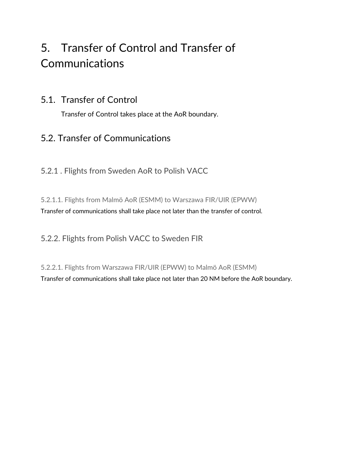# <span id="page-15-0"></span>5. Transfer of Control and Transfer of **Communications**

### <span id="page-15-1"></span>5.1. Transfer of Control

Transfer of Control takes place at the AoR boundary.

# <span id="page-15-2"></span>5.2. Transfer of Communications

<span id="page-15-3"></span>5.2.1 . Flights from Sweden AoR to Polish VACC

5.2.1.1. Flights from Malmö AoR (ESMM) to Warszawa FIR/UIR (EPWW) Transfer of communications shall take place not later than the transfer of control.

<span id="page-15-4"></span>5.2.2. Flights from Polish VACC to Sweden FIR

5.2.2.1. Flights from Warszawa FIR/UIR (EPWW) to Malmö AoR (ESMM) Transfer of communications shall take place not later than 20 NM before the AoR boundary.